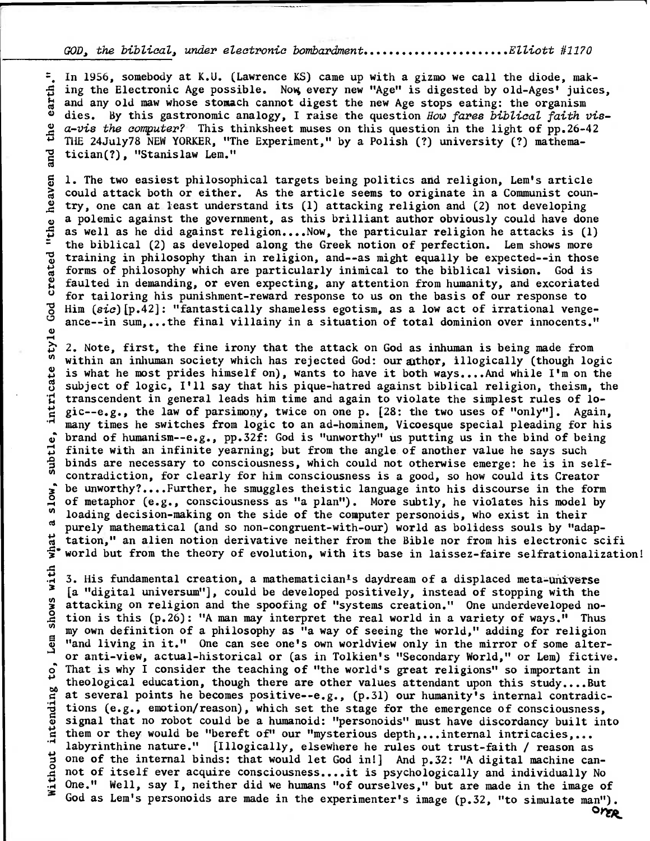## GOD, the biblical, under electronic bombardment....................Elliott #1170

**•** 

**•** 

**=.** In 1956, somebody at K.U. (Lawrence KS) came up with a gizmo we call the diode, mak-<br>  $\frac{1}{6}$  ing the Electronic Age possible. Now, every new "Age" is digested by old-Ages' juice:<br>  $\frac{1}{6}$  and any old maw whose st **ing the Electronic Age possible. Nov; every new "Age" is digested by old-Ages' juices,**  and any old maw whose stomach cannot digest the new Age stops eating: the organism **O dies. By this gastronomic analogy, I raise the question** How fares biblical faith viea-vis the computer? **This thinksheet muses on this question in the light of pp.26-42**  4-*bls the computer*? Inist thinksheet mases on this question in the light of pp.20-4<br>THE 24July78 NEW YORKER, "The Experiment," by a Polish (?) university (?) mathema-<br>  $\frac{12}{10}$  tician(?), "Stanislaw Lem." **tician(?), "Stanislaw Lem."** 

**0 1. The two easiest philosophical targets being politics and religion, Lem's article could attack both or either. As the article seems to originate in a Communist coun-** .2 **try, one can** at **least understand its (1) attacking religion and (2) not developing a** polemic against the government, as this brilliant author obviously could have done<br>  $\overrightarrow{B}$  as well as he did against religion....Now, the particular religion he attacks is (1)<br>
<sup>2</sup> the biblical (2) as developed along as well as he did against religion....Now, the particular religion he attacks is (1) <sup>=</sup> the biblical (2) as developed along the Greek notion of perfection. Lem shows more<br>  $\frac{10}{9}$  training in philosophy than in religion, and--as might equally be expected--in those<br>  $\frac{10}{9}$  forms of philosophy which <sup>73</sup>**training in philosophy than in religion, and--as might equally be expected--in those**  forms of philosophy which are particularly inimical to the biblical vision. God is 2 **faulted in demanding, or even expecting, any attention from humanity, and excoriated o** for tailoring his punishment-reward response to us on the basis of our response to <br> **b** Him (sic) [p.42]: "fantastically shameless egotism, as a low act of irrational vengents Him (sic)[p.42]: "fantastically shameless egotism, as a low act of irrational vengeance--in sum,...the final villainy in a situation of total dominion over innocents."

style **; 2. Note, first, the fine irony that the attack on God as inhuman is being made from**  within an inhuman society which has rejected God: our athor, illogically (though logic is what he most prides himself on), wants to have it both ways....And while I'm on the intricate **subject of logic, I'll say that his pique-hatred against biblical religion, theism, the**  transcendent in general leads him time and again to violate the simplest rules of lo**t gic--e.g., the law of parsimony, twice on one p. [28: the two uses of "only"]. Again, .many times he switches from logic to an ad-hominem, Vicoesque special pleading for his**<br> **c** brand of humanism--e.g., pp.32f: God is "unworthy" us putting us in the bind of being<br>  $\frac{1}{b}$  finite with an infinite yearn **<sup>c</sup>; brand of humanism--e.g., pp.32f: God is "unworthy" us putting us in the bind of being**  finite with an infinite yearning; but from the angle of another value he says such **binds are necessary to consciousness, which could not otherwise emerge: he is in self-O contradiction, for clearly for him consciousness is a good, so how could its Creator j** be unworthy?....Further, he smuggles theistic language into his discourse in the form  $\delta$  of metaphon (a.g. consciousness as "a plan"). More subtly be violated big model by **of metaphor (e.g., consciousness as "a plan"). More subtly, he violates his model by**  If of metaphor (e.g., consciousness as "a plan"). More subtly, he violates his model<br>
<sup>1</sup> loading decision-making on the side of the computer personoids, who exist in their<br>
<sup>1</sup> numely mathematical (and as non approximatel **• purely mathematical (and so non-congruent-with-our) world as bolidess souls by "adap**what **tation," an alien notion derivative neither from the Bible nor from his electronic scifi**  world but from the theory of evolution, with its base in laissez-faire selfrationalization!

**.m 3. His fundamental creation, a mathematician's daydream of a displaced meta** universe X**a** attacking on religion and the spoofing of "systems creation." One underdeveloped no-<br>
dion is this (p.26): "A man may interpret the real world in a variety of ways." Thus tion is this (p.26): "A man may interpret the real world in a variety of ways." Thus<br>my own definition of a philosophy as "a way of seeing the world," adding for religion<br>diving in it." One can see one's own worldview only **o That is why I consider the teaching of "the world's great religions" so important in**  theological education, though there are other values attendant upon this study....But<br>at several points he becomes positive--e.g., (p.31) our humanity's internal contradic-<br>tions (e.g., emotion/reason), which set the stage **• at several points he becomes positive--e.g., (p.31) our humanity's internal contradic** tions (e.g., emotion/reason), which set the stage for the emergence of consciousness, **o . Q signal that no robot could be a humanoid: "personoids" must have discordancy built into • them or they would be "bereft of" our "mysterious depth,...internal intricacies,... labyrinthine nature."** [Illogically, elsewhere he rules out trust-faith / reason as<br>
one of the internal binds: that would let God in!] And p.32: "A digital machine can<br>
a. not of itself ever acquire consciousness....it i **• one of the internal binds: that would let God in!] And p.32: "A digital machine can-4 not of itself ever acquire consciousness....it is psychologically and individually No One." Well, say I, neither did we humans "of ourselves," but are made in the image of God as Lem's personoids are made in the experimenter's image (p.32, "to simulate man"). Orr&**